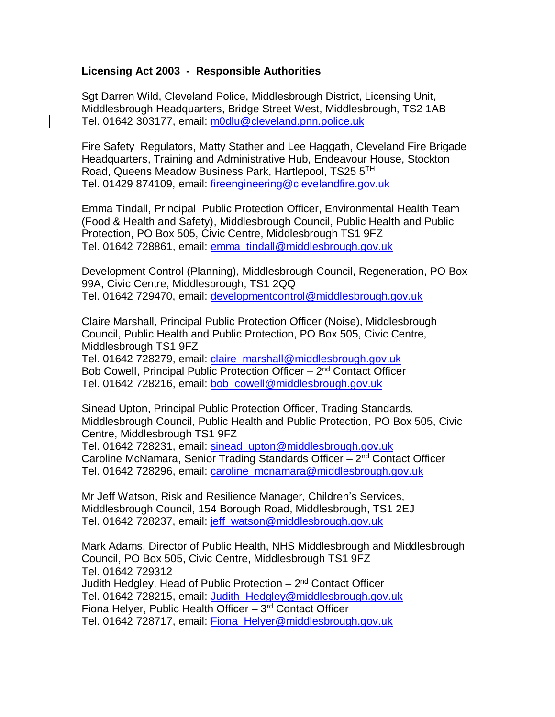## **Licensing Act 2003 - Responsible Authorities**

Sgt Darren Wild, Cleveland Police, Middlesbrough District, Licensing Unit, Middlesbrough Headquarters, Bridge Street West, Middlesbrough, TS2 1AB Tel. 01642 303177, email: [m0dlu@cleveland.pnn.police.uk](mailto:m0dlu@cleveland.pnn.police.uk)

Fire Safety Regulators, Matty Stather and Lee Haggath, Cleveland Fire Brigade Headquarters, Training and Administrative Hub, Endeavour House, Stockton Road, Queens Meadow Business Park, Hartlepool, TS25 5TH Tel. 01429 874109, email: [fireengineering@clevelandfire.gov.uk](mailto:fireengineering@clevelandfire.gov.uk)

Emma Tindall, Principal Public Protection Officer, Environmental Health Team (Food & Health and Safety), Middlesbrough Council, Public Health and Public Protection, PO Box 505, Civic Centre, Middlesbrough TS1 9FZ Tel. 01642 728861, email: [emma\\_tindall@middlesbrough.gov.uk](mailto:emma_tindall@middlesbrough.gov.uk)

Development Control (Planning), Middlesbrough Council, Regeneration, PO Box 99A, Civic Centre, Middlesbrough, TS1 2QQ Tel. 01642 729470, email: [developmentcontrol@middlesbrough.gov.uk](mailto:developmentcontrol@middlesbrough.gov.uk)

Claire Marshall, Principal Public Protection Officer (Noise), Middlesbrough Council, Public Health and Public Protection, PO Box 505, Civic Centre, Middlesbrough TS1 9FZ

Tel. 01642 728279, email: [claire\\_marshall@middlesbrough.gov.uk](mailto:claire_marshall@middlesbrough.gov.uk) Bob Cowell, Principal Public Protection Officer - 2<sup>nd</sup> Contact Officer Tel. 01642 728216, email: [bob\\_cowell@middlesbrough.gov.uk](mailto:bob_cowell@middlesbrough.gov.uk)

Sinead Upton, Principal Public Protection Officer, Trading Standards, Middlesbrough Council, Public Health and Public Protection, PO Box 505, Civic Centre, Middlesbrough TS1 9FZ

Tel. 01642 728231, email: sinead upton@middlesbrough.gov.uk Caroline McNamara, Senior Trading Standards Officer - 2<sup>nd</sup> Contact Officer Tel. 01642 728296, email: [caroline\\_mcnamara@middlesbrough.gov.uk](mailto:caroline_mcnamara@middlesbrough.gov.uk)

Mr Jeff Watson, Risk and Resilience Manager, Children's Services, Middlesbrough Council, 154 Borough Road, Middlesbrough, TS1 2EJ Tel. 01642 728237, email: jeff\_watson@middlesbrough.gov.uk

Mark Adams, Director of Public Health, NHS Middlesbrough and Middlesbrough Council, PO Box 505, Civic Centre, Middlesbrough TS1 9FZ Tel. 01642 729312 Judith Hedgley, Head of Public Protection – 2<sup>nd</sup> Contact Officer Tel. 01642 728215, email: [Judith\\_Hedgley@middlesbrough.gov.uk](mailto:Judith_Hedgley@middlesbrough.gov.uk) Fiona Helyer, Public Health Officer - 3<sup>rd</sup> Contact Officer Tel. 01642 728717, email: [Fiona\\_Helyer@middlesbrough.gov.uk](mailto:Fiona_Helyer@middlesbrough.gov.uk)